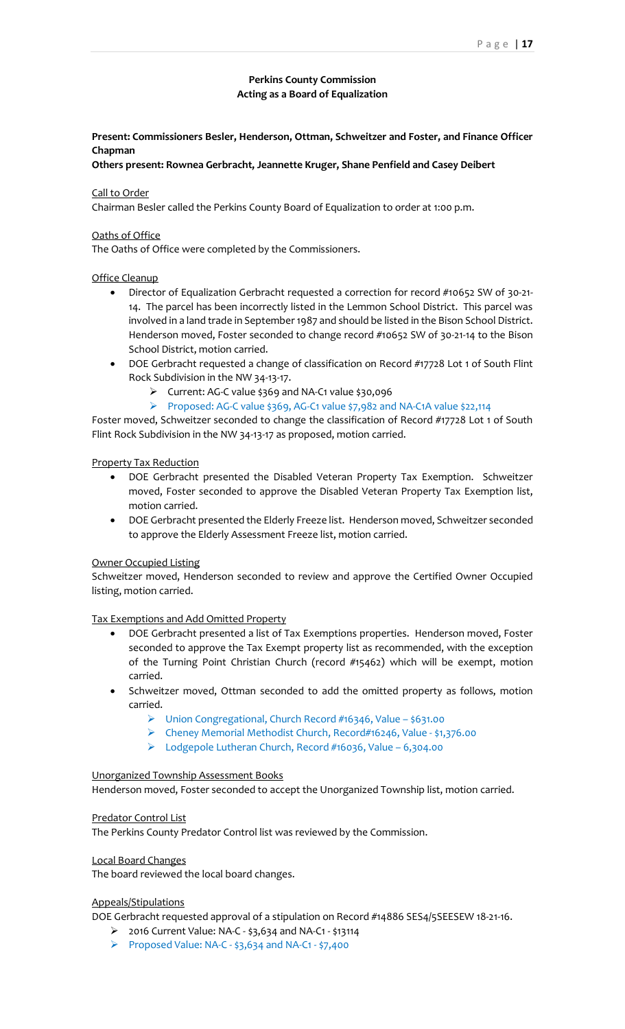# **Perkins County Commission Acting as a Board of Equalization**

# **Present: Commissioners Besler, Henderson, Ottman, Schweitzer and Foster, and Finance Officer Chapman**

# **Others present: Rownea Gerbracht, Jeannette Kruger, Shane Penfield and Casey Deibert**

## Call to Order

Chairman Besler called the Perkins County Board of Equalization to order at 1:00 p.m.

## Oaths of Office

The Oaths of Office were completed by the Commissioners.

## Office Cleanup

- Director of Equalization Gerbracht requested a correction for record #10652 SW of 30-21- 14. The parcel has been incorrectly listed in the Lemmon School District. This parcel was involved in a land trade in September 1987 and should be listed in the Bison School District. Henderson moved, Foster seconded to change record #10652 SW of 30-21-14 to the Bison School District, motion carried.
- DOE Gerbracht requested a change of classification on Record #17728 Lot 1 of South Flint Rock Subdivision in the NW 34-13-17.
	- $\triangleright$  Current: AG-C value \$369 and NA-C1 value \$30,096
	- $\triangleright$  Proposed: AG-C value \$369, AG-C1 value \$7,982 and NA-C1A value \$22,114

Foster moved, Schweitzer seconded to change the classification of Record #17728 Lot 1 of South Flint Rock Subdivision in the NW 34-13-17 as proposed, motion carried.

## Property Tax Reduction

- DOE Gerbracht presented the Disabled Veteran Property Tax Exemption. Schweitzer moved, Foster seconded to approve the Disabled Veteran Property Tax Exemption list, motion carried.
- DOE Gerbracht presented the Elderly Freeze list. Henderson moved, Schweitzer seconded to approve the Elderly Assessment Freeze list, motion carried.

#### Owner Occupied Listing

Schweitzer moved, Henderson seconded to review and approve the Certified Owner Occupied listing, motion carried.

## Tax Exemptions and Add Omitted Property

- DOE Gerbracht presented a list of Tax Exemptions properties. Henderson moved, Foster seconded to approve the Tax Exempt property list as recommended, with the exception of the Turning Point Christian Church (record #15462) which will be exempt, motion carried.
- Schweitzer moved, Ottman seconded to add the omitted property as follows, motion carried.
	- $\triangleright$  Union Congregational, Church Record #16346, Value \$631.00
	- Cheney Memorial Methodist Church, Record#16246, Value \$1,376.00
	- Lodgepole Lutheran Church, Record #16036, Value 6,304.00

#### Unorganized Township Assessment Books

Henderson moved, Foster seconded to accept the Unorganized Township list, motion carried.

#### Predator Control List

The Perkins County Predator Control list was reviewed by the Commission.

## Local Board Changes

The board reviewed the local board changes.

## Appeals/Stipulations

DOE Gerbracht requested approval of a stipulation on Record #14886 SES4/5SEESEW 18-21-16.

- 2016 Current Value: NA-C \$3,634 and NA-C1 \$13114
- Proposed Value: NA-C \$3,634 and NA-C1 \$7,400